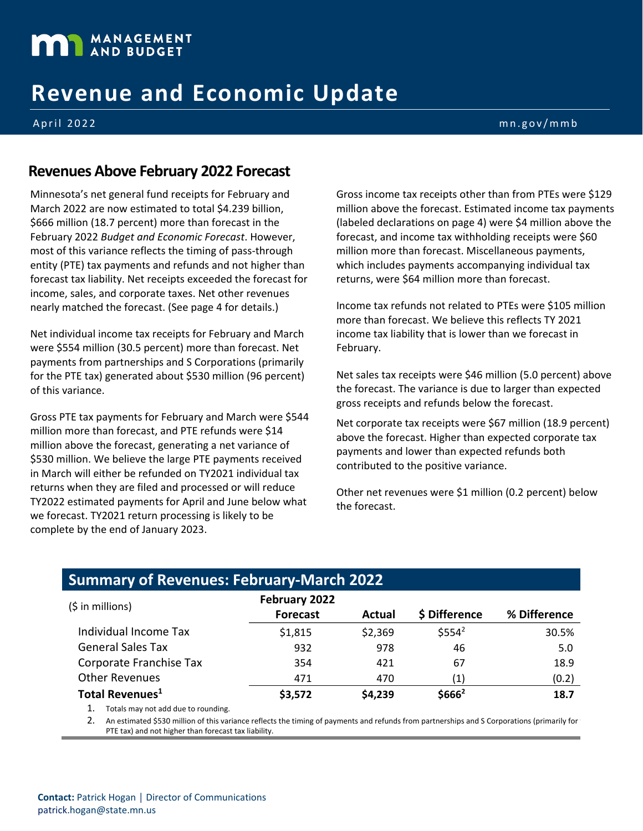

# **Revenue and Economic Update**

April 202 2 mn.gov/mmb

#### **Revenues Above February 2022 Forecast**

Minnesota's net general fund receipts for February and March 2022 are now estimated to total \$4.239 billion, \$666 million (18.7 percent) more than forecast in the February 2022 *Budget and Economic Forecast*. However, most of this variance reflects the timing of pass-through entity (PTE) tax payments and refunds and not higher than forecast tax liability. Net receipts exceeded the forecast for income, sales, and corporate taxes. Net other revenues nearly matched the forecast. (See page 4 for details.)

Net individual income tax receipts for February and March were \$554 million (30.5 percent) more than forecast. Net payments from partnerships and S Corporations (primarily for the PTE tax) generated about \$530 million (96 percent) of this variance.

Gross PTE tax payments for February and March were \$544 million more than forecast, and PTE refunds were \$14 million above the forecast, generating a net variance of \$530 million. We believe the large PTE payments received in March will either be refunded on TY2021 individual tax returns when they are filed and processed or will reduce TY2022 estimated payments for April and June below what we forecast. TY2021 return processing is likely to be complete by the end of January 2023.

Gross income tax receipts other than from PTEs were \$129 million above the forecast. Estimated income tax payments (labeled declarations on page 4) were \$4 million above the forecast, and income tax withholding receipts were \$60 million more than forecast. Miscellaneous payments, which includes payments accompanying individual tax returns, were \$64 million more than forecast.

Income tax refunds not related to PTEs were \$105 million more than forecast. We believe this reflects TY 2021 income tax liability that is lower than we forecast in February.

Net sales tax receipts were \$46 million (5.0 percent) above the forecast. The variance is due to larger than expected gross receipts and refunds below the forecast.

Net corporate tax receipts were \$67 million (18.9 percent) above the forecast. Higher than expected corporate tax payments and lower than expected refunds both contributed to the positive variance.

Other net revenues were \$1 million (0.2 percent) below the forecast.

### **Summary of Revenues: February-March 2022**

| (\$ in millions)            | February 2022   |         |                     |              |  |
|-----------------------------|-----------------|---------|---------------------|--------------|--|
|                             | <b>Forecast</b> | Actual  | \$ Difference       | % Difference |  |
| Individual Income Tax       | \$1,815         | \$2,369 | \$5554 <sup>2</sup> | 30.5%        |  |
| <b>General Sales Tax</b>    | 932             | 978     | 46                  | 5.0          |  |
| Corporate Franchise Tax     | 354             | 421     | 67                  | 18.9         |  |
| <b>Other Revenues</b>       | 471             | 470     | (1)                 | (0.2)        |  |
| Total Revenues <sup>1</sup> | \$3,572         | \$4,239 | \$666 <sup>2</sup>  | 18.7         |  |

1. Totals may not add due to rounding.

2. An estimated \$530 million of this variance reflects the timing of payments and refunds from partnerships and S Corporations (primarily for the state of the times) PTE tax) and not higher than forecast tax liability.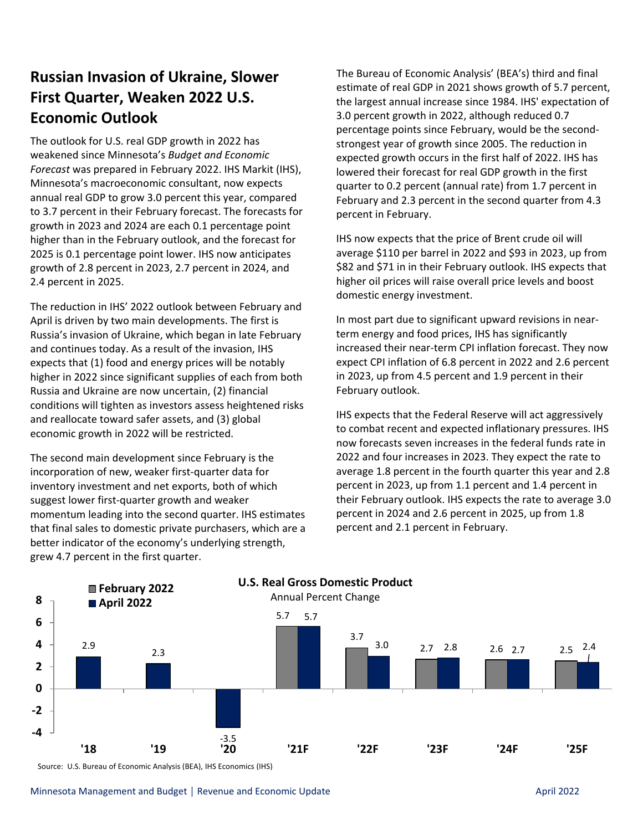## **Russian Invasion of Ukraine, Slower First Quarter, Weaken 2022 U.S. Economic Outlook**

The outlook for U.S. real GDP growth in 2022 has weakened since Minnesota's *Budget and Economic Forecast* was prepared in February 2022. IHS Markit (IHS), Minnesota's macroeconomic consultant, now expects annual real GDP to grow 3.0 percent this year, compared to 3.7 percent in their February forecast. The forecasts for growth in 2023 and 2024 are each 0.1 percentage point higher than in the February outlook, and the forecast for 2025 is 0.1 percentage point lower. IHS now anticipates growth of 2.8 percent in 2023, 2.7 percent in 2024, and 2.4 percent in 2025.

The reduction in IHS' 2022 outlook between February and April is driven by two main developments. The first is Russia's invasion of Ukraine, which began in late February and continues today. As a result of the invasion, IHS expects that (1) food and energy prices will be notably higher in 2022 since significant supplies of each from both Russia and Ukraine are now uncertain, (2) financial conditions will tighten as investors assess heightened risks and reallocate toward safer assets, and (3) global economic growth in 2022 will be restricted.

The second main development since February is the incorporation of new, weaker first-quarter data for inventory investment and net exports, both of which suggest lower first-quarter growth and weaker momentum leading into the second quarter. IHS estimates that final sales to domestic private purchasers, which are a better indicator of the economy's underlying strength, grew 4.7 percent in the first quarter.

The Bureau of Economic Analysis' (BEA's) third and final estimate of real GDP in 2021 shows growth of 5.7 percent, the largest annual increase since 1984. IHS' expectation of 3.0 percent growth in 2022, although reduced 0.7 percentage points since February, would be the secondstrongest year of growth since 2005. The reduction in expected growth occurs in the first half of 2022. IHS has lowered their forecast for real GDP growth in the first quarter to 0.2 percent (annual rate) from 1.7 percent in February and 2.3 percent in the second quarter from 4.3 percent in February.

IHS now expects that the price of Brent crude oil will average \$110 per barrel in 2022 and \$93 in 2023, up from \$82 and \$71 in in their February outlook. IHS expects that higher oil prices will raise overall price levels and boost domestic energy investment.

In most part due to significant upward revisions in nearterm energy and food prices, IHS has significantly increased their near-term CPI inflation forecast. They now expect CPI inflation of 6.8 percent in 2022 and 2.6 percent in 2023, up from 4.5 percent and 1.9 percent in their February outlook.

IHS expects that the Federal Reserve will act aggressively to combat recent and expected inflationary pressures. IHS now forecasts seven increases in the federal funds rate in 2022 and four increases in 2023. They expect the rate to average 1.8 percent in the fourth quarter this year and 2.8 percent in 2023, up from 1.1 percent and 1.4 percent in their February outlook. IHS expects the rate to average 3.0 percent in 2024 and 2.6 percent in 2025, up from 1.8 percent and 2.1 percent in February.



Source: U.S. Bureau of Economic Analysis (BEA), IHS Economics (IHS)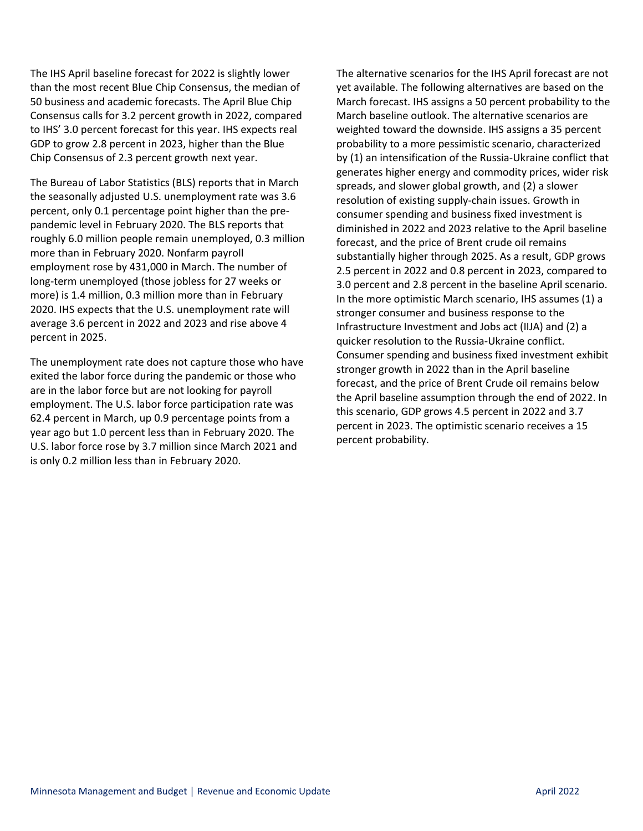The IHS April baseline forecast for 2022 is slightly lower than the most recent Blue Chip Consensus, the median of 50 business and academic forecasts. The April Blue Chip Consensus calls for 3.2 percent growth in 2022, compared to IHS' 3.0 percent forecast for this year. IHS expects real GDP to grow 2.8 percent in 2023, higher than the Blue Chip Consensus of 2.3 percent growth next year.

The Bureau of Labor Statistics (BLS) reports that in March the seasonally adjusted U.S. unemployment rate was 3.6 percent, only 0.1 percentage point higher than the prepandemic level in February 2020. The BLS reports that roughly 6.0 million people remain unemployed, 0.3 million more than in February 2020. Nonfarm payroll employment rose by 431,000 in March. The number of long-term unemployed (those jobless for 27 weeks or more) is 1.4 million, 0.3 million more than in February 2020. IHS expects that the U.S. unemployment rate will average 3.6 percent in 2022 and 2023 and rise above 4 percent in 2025.

The unemployment rate does not capture those who have exited the labor force during the pandemic or those who are in the labor force but are not looking for payroll employment. The U.S. labor force participation rate was 62.4 percent in March, up 0.9 percentage points from a year ago but 1.0 percent less than in February 2020. The U.S. labor force rose by 3.7 million since March 2021 and is only 0.2 million less than in February 2020.

The alternative scenarios for the IHS April forecast are not yet available. The following alternatives are based on the March forecast. IHS assigns a 50 percent probability to the March baseline outlook. The alternative scenarios are weighted toward the downside. IHS assigns a 35 percent probability to a more pessimistic scenario, characterized by (1) an intensification of the Russia-Ukraine conflict that generates higher energy and commodity prices, wider risk spreads, and slower global growth, and (2) a slower resolution of existing supply-chain issues. Growth in consumer spending and business fixed investment is diminished in 2022 and 2023 relative to the April baseline forecast, and the price of Brent crude oil remains substantially higher through 2025. As a result, GDP grows 2.5 percent in 2022 and 0.8 percent in 2023, compared to 3.0 percent and 2.8 percent in the baseline April scenario. In the more optimistic March scenario, IHS assumes (1) a stronger consumer and business response to the Infrastructure Investment and Jobs act (IIJA) and (2) a quicker resolution to the Russia-Ukraine conflict. Consumer spending and business fixed investment exhibit stronger growth in 2022 than in the April baseline forecast, and the price of Brent Crude oil remains below the April baseline assumption through the end of 2022. In this scenario, GDP grows 4.5 percent in 2022 and 3.7 percent in 2023. The optimistic scenario receives a 15 percent probability.